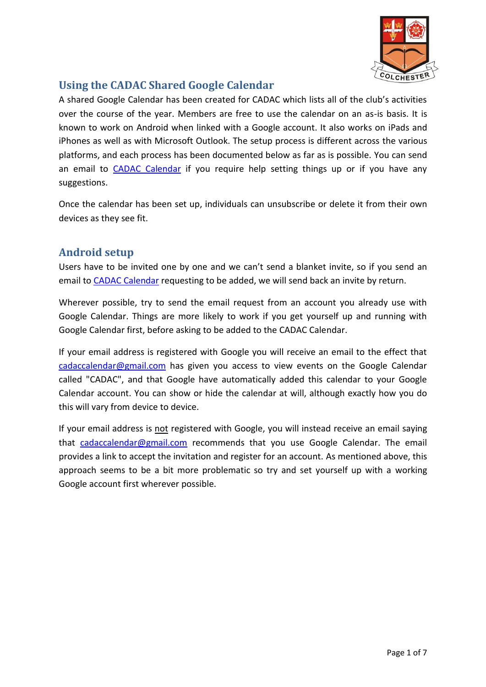

# **Using the CADAC Shared Google Calendar**

A shared Google Calendar has been created for CADAC which lists all of the club's activities over the course of the year. Members are free to use the calendar on an as-is basis. It is known to work on Android when linked with a Google account. It also works on iPads and iPhones as well as with Microsoft Outlook. The setup process is different across the various platforms, and each process has been documented below as far as is possible. You can send an email to [CADAC Calendar](mailto:cadaccalendar@gmail.com?subject=CADAC%20Calendar%20help%20and%20suggestions) if you require help setting things up or if you have any suggestions.

Once the calendar has been set up, individuals can unsubscribe or delete it from their own devices as they see fit.

## **Android setup**

Users have to be invited one by one and we can't send a blanket invite, so if you send an email to [CADAC Calendar](mailto:cadaccalendar@gmail.com?subject=Please%20add%20me%20to%20the%20CADAC%20Calendar) requesting to be added, we will send back an invite by return.

Wherever possible, try to send the email request from an account you already use with Google Calendar. Things are more likely to work if you get yourself up and running with Google Calendar first, before asking to be added to the CADAC Calendar.

If your email address is registered with Google you will receive an email to the effect that [cadaccalendar@gmail.com](mailto:cadaccalendar@gmail.com) has given you access to view events on the Google Calendar called "CADAC", and that Google have automatically added this calendar to your Google Calendar account. You can show or hide the calendar at will, although exactly how you do this will vary from device to device.

If your email address is not registered with Google, you will instead receive an email saying that [cadaccalendar@gmail.com](mailto:cadaccalendar@gmail.com) recommends that you use Google Calendar. The email provides a link to accept the invitation and register for an account. As mentioned above, this approach seems to be a bit more problematic so try and set yourself up with a working Google account first wherever possible.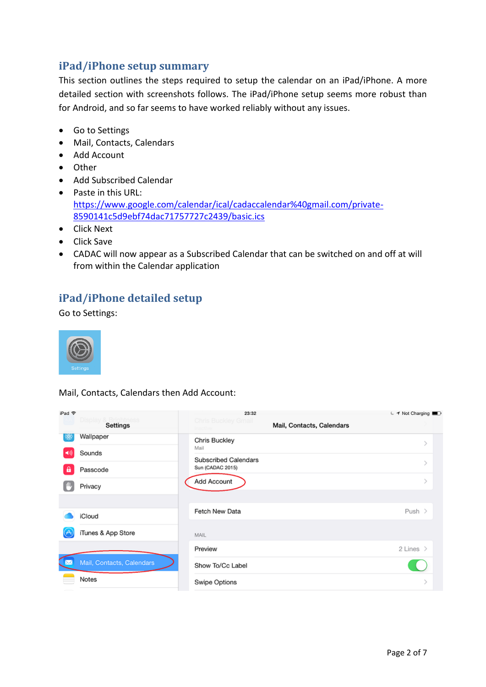### **iPad/iPhone setup summary**

This section outlines the steps required to setup the calendar on an iPad/iPhone. A more detailed section with screenshots follows. The iPad/iPhone setup seems more robust than for Android, and so far seems to have worked reliably without any issues.

- Go to Settings
- Mail, Contacts, Calendars
- Add Account
- Other
- Add Subscribed Calendar
- Paste in this URL: [https://www.google.com/calendar/ical/cadaccalendar%40gmail.com/private-](https://www.google.com/calendar/ical/cadaccalendar%40gmail.com/private-8590141c5d9ebf74dac71757727c2439/basic.ics)[8590141c5d9ebf74dac71757727c2439/basic.ics](https://www.google.com/calendar/ical/cadaccalendar%40gmail.com/private-8590141c5d9ebf74dac71757727c2439/basic.ics)
- Click Next
- Click Save
- CADAC will now appear as a Subscribed Calendar that can be switched on and off at will from within the Calendar application

## **iPad/iPhone detailed setup**

Go to Settings:



Mail, Contacts, Calendars then Add Account:

| iPad 令               |                                      | 23:32                                    |                           | ← イ Not Charging      |
|----------------------|--------------------------------------|------------------------------------------|---------------------------|-----------------------|
|                      | Display & Br<br>ightness<br>Settings | <b>Chris Buckley Gmail</b>               | Mail, Contacts, Calendars |                       |
| ₩                    | Wallpaper                            | Chris Buckley                            |                           |                       |
| $\blacktriangleleft$ | Sounds                               | Mail                                     |                           |                       |
| a                    | Passcode                             | Subscribed Calendars<br>Sun (CADAC 2015) |                           |                       |
|                      | Privacy                              | Add Account                              |                           |                       |
|                      |                                      |                                          |                           |                       |
|                      | iCloud                               | Fetch New Data                           |                           | Push $>$              |
|                      | iTunes & App Store                   | MAIL                                     |                           |                       |
|                      |                                      | Preview                                  |                           | 2 Lines $\rightarrow$ |
|                      | Mail, Contacts, Calendars            | Show To/Cc Label                         |                           |                       |
|                      | Notes                                | Swipe Options                            |                           |                       |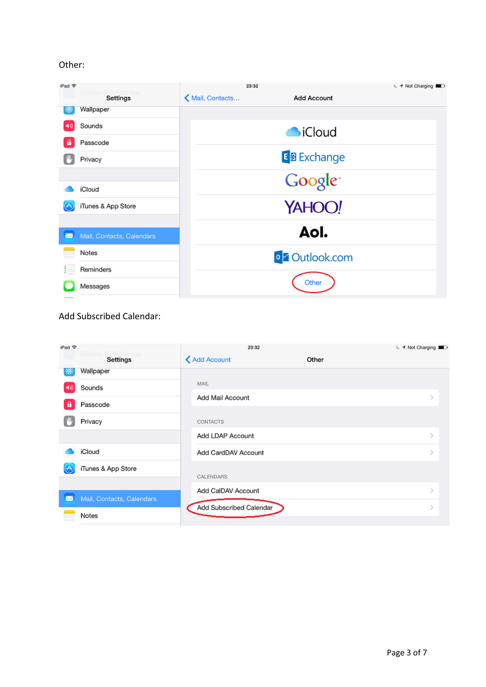### Other:

| iPad 守    |                           | 23:32            | ← イ Not Charging       |  |
|-----------|---------------------------|------------------|------------------------|--|
|           | Display & Br<br>Settings  | K Mail, Contacts | <b>Add Account</b>     |  |
| ₩         | Wallpaper                 |                  |                        |  |
|           | Sounds                    |                  | <b>O</b> iCloud        |  |
| B         | Passcode                  |                  |                        |  |
|           | Privacy                   |                  | E 图 Exchange           |  |
|           |                           |                  | Google <sup>*</sup>    |  |
|           | iCloud                    |                  |                        |  |
|           | iTunes & App Store        |                  | YAHOO!                 |  |
|           |                           |                  |                        |  |
| $\bowtie$ | Mail, Contacts, Calendars |                  | Aol.                   |  |
|           | Notes                     |                  | o <b>Z</b> Outlook.com |  |
|           | Reminders                 |                  |                        |  |
|           | Messages                  |                  | Other                  |  |
|           |                           |                  |                        |  |

## Add Subscribed Calendar:

| iPad 全         |                                 | 23:32                   |       | ← イ Not Charging |
|----------------|---------------------------------|-------------------------|-------|------------------|
|                | Display & Br<br><b>Settings</b> | <b>く Add Account</b>    | Other |                  |
| ුදසු           | Wallpaper                       |                         |       |                  |
| $\blacksquare$ | Sounds                          | MAIL                    |       |                  |
| ⋒              | Passcode                        | Add Mail Account        |       |                  |
|                | Privacy                         | <b>CONTACTS</b>         |       |                  |
|                |                                 | Add LDAP Account        |       | $\geq$           |
|                | iCloud                          | Add CardDAV Account     |       |                  |
| (A             | iTunes & App Store              | CALENDARS               |       |                  |
| $\boxtimes$    | Mail, Contacts, Calendars       | Add CalDAV Account      |       |                  |
|                | Notes                           | Add Subscribed Calendar |       |                  |
|                |                                 |                         |       |                  |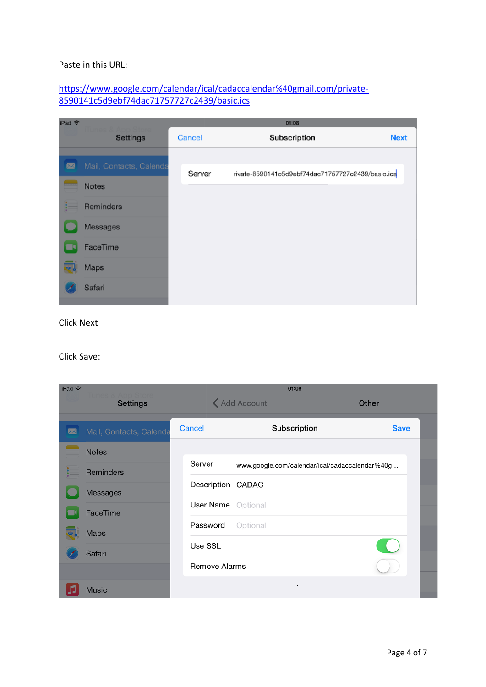#### Paste in this URL:

### [https://www.google.com/calendar/ical/cadaccalendar%40gmail.com/private-](https://www.google.com/calendar/ical/cadaccalendar%40gmail.com/private-8590141c5d9ebf74dac71757727c2439/basic.ics)[8590141c5d9ebf74dac71757727c2439/basic.ics](https://www.google.com/calendar/ical/cadaccalendar%40gmail.com/private-8590141c5d9ebf74dac71757727c2439/basic.ics)

| iPad 令 |                         |        | 01:08                                             |             |
|--------|-------------------------|--------|---------------------------------------------------|-------------|
|        | Settings                | Cancel | Subscription                                      | <b>Next</b> |
|        |                         |        |                                                   |             |
| ⊠      | Mail, Contacts, Calenda | Server | rivate-8590141c5d9ebf74dac71757727c2439/basic.ics |             |
|        | Notes                   |        |                                                   |             |
|        | Reminders               |        |                                                   |             |
|        | Messages                |        |                                                   |             |
|        | FaceTime                |        |                                                   |             |
|        | Maps                    |        |                                                   |             |
|        | Safari                  |        |                                                   |             |

Click Next

#### Click Save:

| iPad 令    |                         |         |                      | 01:08                                          |              |  |  |
|-----------|-------------------------|---------|----------------------|------------------------------------------------|--------------|--|--|
|           | <b>Settings</b>         |         |                      | <b>く Add Account</b>                           | <b>Other</b> |  |  |
|           |                         |         |                      |                                                |              |  |  |
| $\bowtie$ | Mail, Contacts, Calenda | Cancel  |                      | Subscription                                   | <b>Save</b>  |  |  |
|           | <b>Notes</b>            |         |                      |                                                |              |  |  |
|           | <b>Reminders</b>        | Server  |                      | www.google.com/calendar/ical/cadaccalendar%40g |              |  |  |
|           | Messages                |         |                      | Description CADAC                              |              |  |  |
|           | FaceTime                |         | User Name            | Optional                                       |              |  |  |
|           | <b>Maps</b>             |         | Password             | Optional                                       |              |  |  |
|           |                         | Use SSL |                      |                                                |              |  |  |
|           | Safari                  |         | <b>Remove Alarms</b> |                                                |              |  |  |
|           | <b>Music</b>            |         |                      |                                                |              |  |  |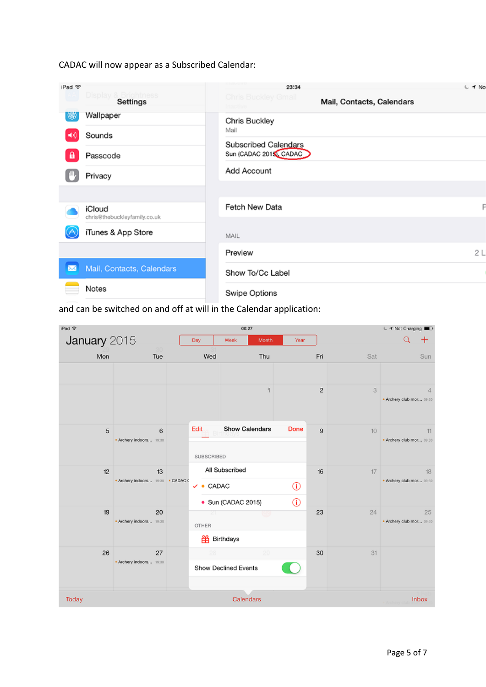CADAC will now appear as a Subscribed Calendar:

| iPad 令      |                                        | 23:34                                            | € 1 No |  |
|-------------|----------------------------------------|--------------------------------------------------|--------|--|
|             | Display & Brightness<br>Settings       | Chris Buckley Gmail<br>Mail, Contacts, Calendars |        |  |
| 镴           | Wallpaper                              | Chris Buckley                                    |        |  |
| ■別          | Sounds                                 | Mail<br>Subscribed Calendars                     |        |  |
| Α           | Passcode                               | Sun (CADAC 2015), CADAC                          |        |  |
|             | Privacy                                | Add Account                                      |        |  |
|             |                                        |                                                  |        |  |
|             | iCloud<br>chris@thebuckleyfamily.co.uk | Fetch New Data                                   |        |  |
| ↺           | iTunes & App Store                     | MAIL                                             |        |  |
|             |                                        | Preview                                          | 2L     |  |
| $\boxtimes$ | Mail, Contacts, Calendars              | Show To/Cc Label                                 |        |  |
|             | Notes                                  | Swipe Options                                    |        |  |
|             |                                        |                                                  |        |  |

and can be switched on and off at will in the Calendar application:

| iPad <sub></sub> |                                         |                      | 00:27                                |         |                |     | ← イ Not Charging               |
|------------------|-----------------------------------------|----------------------|--------------------------------------|---------|----------------|-----|--------------------------------|
| January 2015     |                                         | Day                  | Week<br>Month                        | Year    |                |     | Q<br>╈                         |
| Mon              | Tue                                     | Wed                  | Thu                                  |         | Fri            | Sat | Sun                            |
|                  |                                         |                      | 1                                    |         | $\overline{c}$ | 3   | 4<br>. Archery club mor 09:30  |
| 5                | 6<br>· Archery indoors 19:30            | Edit<br>SUBSCRIBED   | <b>Show Calendars</b>                | Done    | 9              | 10  | 11<br>· Archery club mor 09:30 |
| 12               | 13<br>. Archery indoors 19:30 . CADAC ( | $\bullet$ CADAC<br>✓ | All Subscribed<br>· Sun (CADAC 2015) | ⊕<br>O) | 16             | 17  | 18<br>. Archery club mor 09:30 |
| 19               | 20<br>· Archery indoors 19:30           | z.<br>OTHER<br>畄     | Birthdays                            |         | 23             | 24  | 25<br>· Archery club mor 09:30 |
| 26               | 27<br>. Archery indoors 19:30           |                      | 29<br>Show Declined Events           |         | 30             | 31  |                                |
| Today            |                                         |                      | Calendars                            |         |                |     | Inbox                          |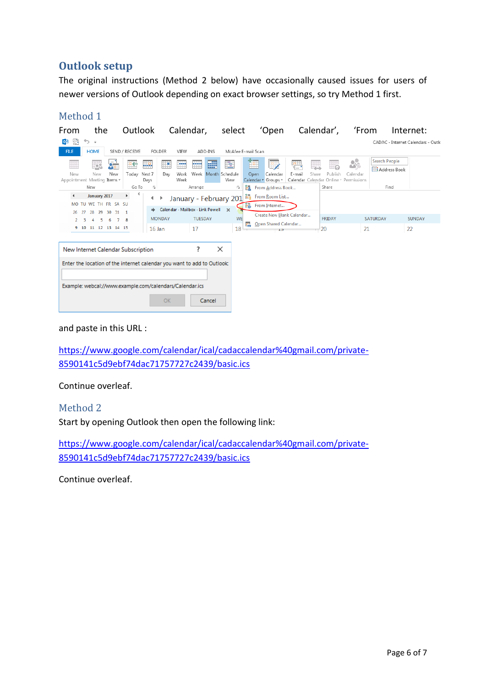## **Outlook setup**

The original instructions (Method 2 below) have occasionally caused issues for users of newer versions of Outlook depending on exact browser settings, so try Method 1 first.

### Method 1

| From                                                                    | the                                              |                                    | Outlook                 |                       |               | Calendar,                        |            |         | select                             |                   |             | 'Open                                  |                           |            | Calendar',    |                                                                              | 'From    |                                         | Internet:                          |
|-------------------------------------------------------------------------|--------------------------------------------------|------------------------------------|-------------------------|-----------------------|---------------|----------------------------------|------------|---------|------------------------------------|-------------------|-------------|----------------------------------------|---------------------------|------------|---------------|------------------------------------------------------------------------------|----------|-----------------------------------------|------------------------------------|
| 靨<br>оz                                                                 | ぅ 。                                              |                                    |                         |                       |               |                                  |            |         |                                    |                   |             |                                        |                           |            |               |                                                                              |          |                                         | CADAC - Internet Calendars - Outlo |
| <b>FILE</b>                                                             | <b>HOME</b>                                      |                                    | SEND / RECEIVE          |                       | <b>FOLDER</b> | VIEW                             |            | ADD-INS | McAfee E-mail Scan                 |                   |             |                                        |                           |            |               |                                                                              |          |                                         |                                    |
| Ħ<br>New<br>Appointment Meeting Items *                                 | P.<br>New                                        | $Q_{\overline{\mathbf{u}}}$<br>New | 떠<br>Todav              | щe.<br>Next 7<br>Days | F<br>Dav      | m<br>Work<br>Week                | <b>MAG</b> | 龗       | E<br>Week Month Schedule<br>View   |                   | re.<br>Open | le,<br>Calendar<br>Calendar v Groups v | 疆<br>E-mail               | 剪<br>Share | Publish       | $\mathbf{S}^{\bullet}$<br>Calendar<br>Calendar Calendar Online v Permissions |          | Search People<br><b>ER</b> Address Book |                                    |
|                                                                         | New                                              |                                    | Go To                   | Гä.                   |               |                                  | Arrange    |         | Б.                                 | ios.              |             | From Address Book                      |                           |            | Share         |                                                                              |          | Find                                    |                                    |
| $\blacktriangleleft$<br>26.                                             | January 2017<br>MO TU WE TH FR SA SU<br>27<br>28 | 29 30<br>31                        | ≺<br>Þ.<br>$\mathbf{1}$ |                       |               | Calendar - Mailbox - Link Powell |            |         | January - February 201<br>$\times$ | io,<br><b>Feb</b> |             | From Room List<br>From Internet        |                           |            |               |                                                                              |          |                                         |                                    |
| $\overline{2}$                                                          | в<br>5                                           | 6                                  | 8                       |                       | <b>MONDAY</b> |                                  | TUESDAY    |         | <b>WE</b>                          |                   |             |                                        | Create New Blank Calendar |            | <b>FRIDAY</b> |                                                                              | SATURDAY |                                         | <b>SUNDAY</b>                      |
|                                                                         | 9 10 11 12 13 14 15                              |                                    |                         | $16$ Jan              |               |                                  | 17         |         | 18                                 | r,                |             | Open Shared Calendar<br>15             |                           |            | 20            |                                                                              | 21       |                                         | 22                                 |
|                                                                         | New Internet Calendar Subscription               |                                    |                         |                       |               |                                  | ?          | ×       |                                    |                   |             |                                        |                           |            |               |                                                                              |          |                                         |                                    |
| Enter the location of the internet calendar you want to add to Outlook: |                                                  |                                    |                         |                       |               |                                  |            |         |                                    |                   |             |                                        |                           |            |               |                                                                              |          |                                         |                                    |
| Example: webcal://www.example.com/calendars/Calendar.ics                |                                                  |                                    |                         |                       |               |                                  |            |         |                                    |                   |             |                                        |                           |            |               |                                                                              |          |                                         |                                    |
|                                                                         |                                                  |                                    |                         |                       | OK            |                                  |            | Cancel  |                                    |                   |             |                                        |                           |            |               |                                                                              |          |                                         |                                    |

#### and paste in this URL :

[https://www.google.com/calendar/ical/cadaccalendar%40gmail.com/private-](https://www.google.com/calendar/ical/cadaccalendar%40gmail.com/private-8590141c5d9ebf74dac71757727c2439/basic.ics)[8590141c5d9ebf74dac71757727c2439/basic.ics](https://www.google.com/calendar/ical/cadaccalendar%40gmail.com/private-8590141c5d9ebf74dac71757727c2439/basic.ics)

Continue overleaf.

Method 2

Start by opening Outlook then open the following link:

[https://www.google.com/calendar/ical/cadaccalendar%40gmail.com/private-](https://www.google.com/calendar/ical/cadaccalendar%40gmail.com/private-8590141c5d9ebf74dac71757727c2439/basic.ics)[8590141c5d9ebf74dac71757727c2439/basic.ics](https://www.google.com/calendar/ical/cadaccalendar%40gmail.com/private-8590141c5d9ebf74dac71757727c2439/basic.ics)

Continue overleaf.